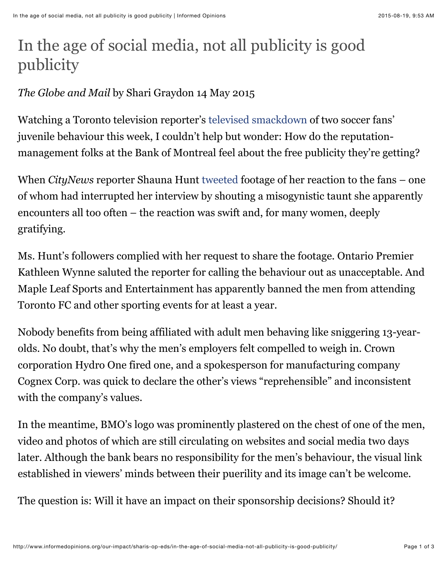## In the age of social media, not all publicity is good publicity

## *The Globe and Mail* by Shari Graydon 14 May 2015

Watching a Toronto television reporter's [televised smackdown](http://www.theglobeandmail.com/report-on-business/careers/toronto-tv-reporter-fights-back-against-obscene-on-the-job-hecklers/article24390881/) of two soccer fans' juvenile behaviour this week, I couldn't help but wonder: How do the reputationmanagement folks at the Bank of Montreal feel about the free publicity they're getting?

When *CityNews* reporter Shauna Hunt [tweeted](https://twitter.com/shaunacitynews/status/597885500830154753) footage of her reaction to the fans – one of whom had interrupted her interview by shouting a misogynistic taunt she apparently encounters all too often – the reaction was swift and, for many women, deeply gratifying.

Ms. Hunt's followers complied with her request to share the footage. Ontario Premier Kathleen Wynne saluted the reporter for calling the behaviour out as unacceptable. And Maple Leaf Sports and Entertainment has apparently banned the men from attending Toronto FC and other sporting events for at least a year.

Nobody benefits from being affiliated with adult men behaving like sniggering 13-yearolds. No doubt, that's why the men's employers felt compelled to weigh in. Crown corporation Hydro One fired one, and a spokesperson for manufacturing company Cognex Corp. was quick to declare the other's views "reprehensible" and inconsistent with the company's values.

In the meantime, BMO's logo was prominently plastered on the chest of one of the men, video and photos of which are still circulating on websites and social media two days later. Although the bank bears no responsibility for the men's behaviour, the visual link established in viewers' minds between their puerility and its image can't be welcome.

The question is: Will it have an impact on their sponsorship decisions? Should it?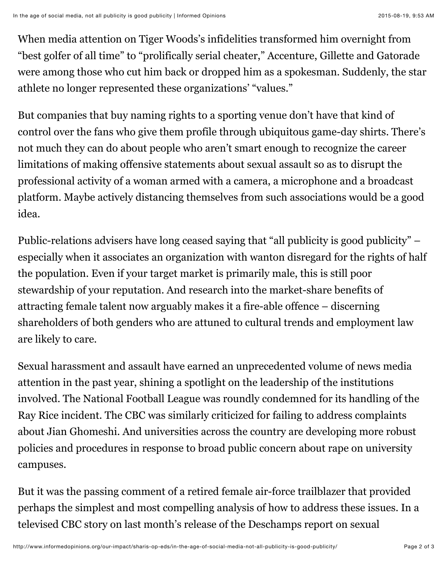When media attention on Tiger Woods's infidelities transformed him overnight from "best golfer of all time" to "prolifically serial cheater," Accenture, Gillette and Gatorade were among those who cut him back or dropped him as a spokesman. Suddenly, the star athlete no longer represented these organizations' "values."

But companies that buy naming rights to a sporting venue don't have that kind of control over the fans who give them profile through ubiquitous game-day shirts. There's not much they can do about people who aren't smart enough to recognize the career limitations of making offensive statements about sexual assault so as to disrupt the professional activity of a woman armed with a camera, a microphone and a broadcast platform. Maybe actively distancing themselves from such associations would be a good idea.

Public-relations advisers have long ceased saying that "all publicity is good publicity" – especially when it associates an organization with wanton disregard for the rights of half the population. Even if your target market is primarily male, this is still poor stewardship of your reputation. And research into the market-share benefits of attracting female talent now arguably makes it a fire-able offence – discerning shareholders of both genders who are attuned to cultural trends and employment law are likely to care.

Sexual harassment and assault have earned an unprecedented volume of news media attention in the past year, shining a spotlight on the leadership of the institutions involved. The National Football League was roundly condemned for its handling of the Ray Rice incident. The CBC was similarly criticized for failing to address complaints about Jian Ghomeshi. And universities across the country are developing more robust policies and procedures in response to broad public concern about rape on university campuses.

But it was the passing comment of a retired female air-force trailblazer that provided perhaps the simplest and most compelling analysis of how to address these issues. In a televised CBC story on last month's release of the Deschamps report on sexual